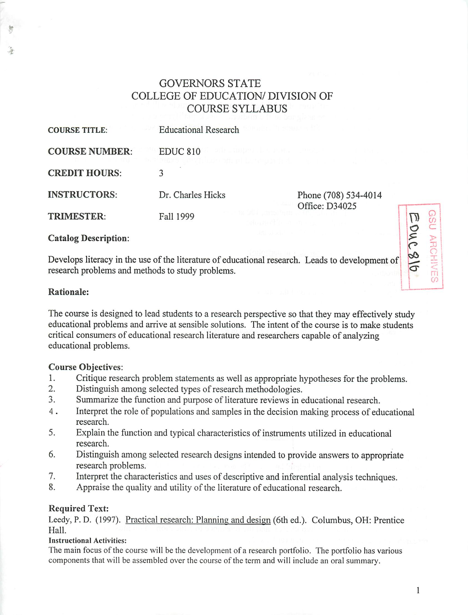# GOVERNORS STATE COLLEGE OF EDUCATION/ DIVISION OF COURSE SYLLABUS

| <b>COURSE TITLE:</b>  | Educational Research                                                                            |                                        |
|-----------------------|-------------------------------------------------------------------------------------------------|----------------------------------------|
| <b>COURSE NUMBER:</b> | <b>EDUC 810</b><br>DIR LAUGHEL LE LE PLE L'IMBAR<br>ՊԾՈ ԱՆԵԿ ԴԱՆ ՋԱ ԱՀՊԿԻԱՅԱՆԻ ԱՆ ՍԱՆ ՍԱՆ ՍԱՆ Ս |                                        |
| <b>CREDIT HOURS:</b>  |                                                                                                 |                                        |
| <b>INSTRUCTORS:</b>   | Dr. Charles Hicks                                                                               | Phone (708) 534-4014<br>Office: D34025 |
| <b>TRIMESTER:</b>     | Fall 1999                                                                                       |                                        |

#### *Catalog Description:*

Develops literacy in the use of the literature of educational research. Leads to development of research problems and methods to study problems.

#### *Rationale:*

The course is designed to lead students to a research perspective so that they may effectively study educational problems and arrive at sensible solutions. The intent of the course is to make students critical consumers of educational research literatureand researchers capable of analyzing educational problems.

#### *Course Objectives:*

- 1. Critique research problem statements as well as appropriate hypotheses for the problems.<br>2. Distinguish among selected types of research methodologies.
- Distinguish among selected types of research methodologies.
- 3. Summarize the function and purpose of literature reviews in educational research.
- 4 . Interpret the role of populations and samples in the decision making process of educational research.
- 5. Explain the function and typical characteristics of instruments utilized in educational research.
- 6. Distinguish among selected research designs intended to provide answers to appropriate research problems.
- 7. Interpret the characteristics and uses of descriptive and inferential analysis techniques.
- 8. Appraise the quality and utility of the literature of educational research.

#### *Required Text:*

Leedy, P. D. (1997). Practical research: Planning and design (6th ed.). Columbus, OH: Prentice Hall.

#### Instructional Activities:

The main focus of the course will be the development of a research portfolio. The portfolio has various components that will be assembled over the course of the term and will include an oral summary.

*^ s o ^ > <°*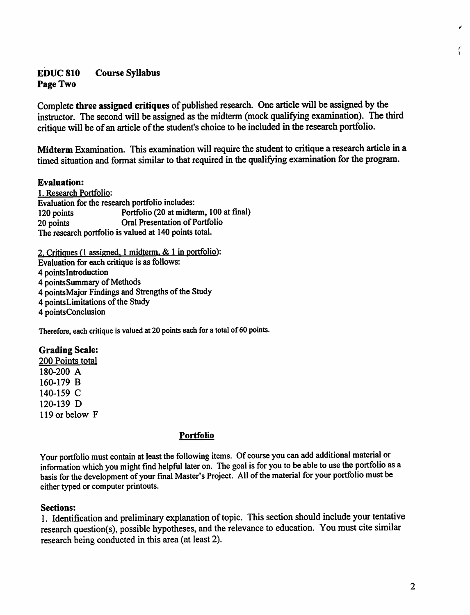# *EDUC 810 Course Syllabus Page Two*

Complete three assigned critiques of published research. One article will be assigned by the instructor. The second will be assigned as the midterm (mock qualifying examination). The third critique will be of an article of the student's choice to be included in the research portfolio.

*Midterm Examination.* This examination will require the student to critique a research article in a timed situation and format similar to that required in the qualifying examination for the program.

#### *Evaluation:*

1. Research Portfolio: Evaluation for the research portfolio includes: 120 points Portfolio (20 at midterm, 100 at final) 20 points **Oral Presentation of Portfolio** The research portfolio is valued at 140 points total.

2. Critiques (1 assigned. 1 midterm. & 1 in portfolio): Evaluation for each critique is as follows: 4 pointslntroduction 4 points Summary of Methods 4 pointsMajor Findings and Strengths of the Study 4 pointsLimitations of the Study 4 pointsConclusion

Therefore, each critique is valued at 20 points each for a total of 60 points.

## *Grading Scale:*

200 Points total 180-200 A 160-179 B 140-159 C 120-139 D 119 or below F

## *Portfolio*

Your portfolio must contain at least the following items. Of course you can add additional material or information which you might find helpful later on. The goal is for you to be able to use the portfolio as a basis for the development of your final Master's Project. All of the material for your portfolio must be either typed or computer printouts.

#### *Sections:*

1. Identification and preliminary explanation of topic. This section should include your tentative research question(s), possible hypotheses, and the relevance to education. You must cite similar research being conducted in this area (at least 2).

 $\int_{1}^{x}$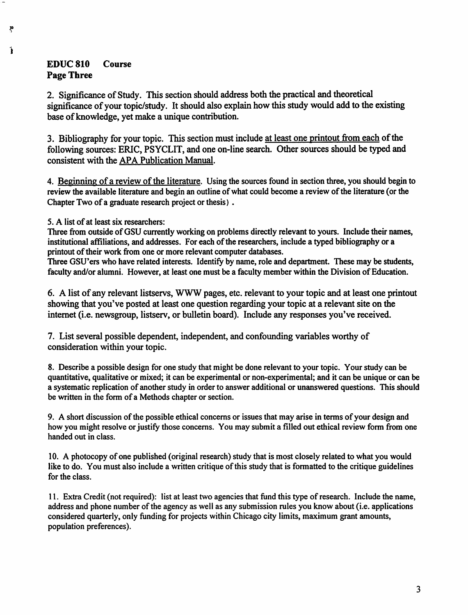# *EDUC 810 Course Page Three*

ŗ

Ť

2. Significance of Study. This section should address both the practical and theoretical significance of your topic/study. It should also explain how this study would add to the existing base of knowledge, yet make a unique contribution.

3. Bibliography for your topic. This section must include at least one printout from each of the following sources: ERIC, PSYCLIT, and one on-line search. Other sources should be typed and consistent with the APA Publication Manual.

4. Beginning of a review of the literature. Using the sources found in section three, you should begin to review the available literature and begin an outline of what could become a review of the literature (or the Chapter Two of a graduate research project or thesis) .

5. <sup>A</sup> list of at least six researchers:

Three from outside of GSU currently working on problems directly relevant to yours. Include their names, institutional affiliations, and addresses. For each of the researchers, include a typed bibliography or a printout of their work from one or more relevant computer databases.

Three GSU'ers who have related interests. Identify by name, role and department. These may be students, faculty and/or alumni. However, at least one must be a faculty member within the Division of Education.

6. A list of any relevant listservs, WWW pages, etc. relevant to your topic and at least one printout showing that you've posted at least one question regarding your topic at a relevant site on the internet (i.e. newsgroup, listserv, or bulletin board). Include any responses you've received.

7. List several possible dependent, independent, and confounding variables worthy of consideration within your topic.

8. Describe a possible design for one study that might be done relevant to your topic. Your study can be quantitative, qualitative or mixed; it can be experimental or non-experimental; and it can be unique or can be a systematic replication of another study in order to answer additional or unanswered questions. This should be written in the form of a Methods chapter or section.

9. A short discussion of the possible ethical concerns or issues that may arise in terms of your design and how you might resolve or justify those concerns. You may submit a filled out ethical review form from one handed out in class.

10. A photocopy ofone published (original research) study that is most closely related to what you would like to do. You must also include a written critique of this study that is formatted to the critique guidelines for the class.

11. Extra Credit (not required): list at least two agencies that fund this type ofresearch. Include the name, address and phone number ofthe agency as well as any submission rules you know about (i.e. applications considered quarterly, only funding for projects within Chicago city limits, maximum grant amounts, population preferences).